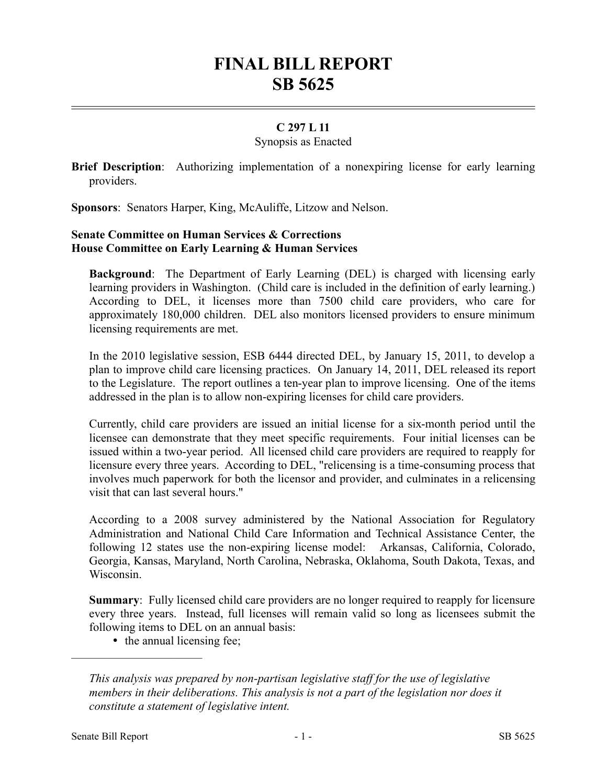# **FINAL BILL REPORT SB 5625**

## **C 297 L 11**

#### Synopsis as Enacted

**Brief Description**: Authorizing implementation of a nonexpiring license for early learning providers.

**Sponsors**: Senators Harper, King, McAuliffe, Litzow and Nelson.

### **Senate Committee on Human Services & Corrections House Committee on Early Learning & Human Services**

**Background**: The Department of Early Learning (DEL) is charged with licensing early learning providers in Washington. (Child care is included in the definition of early learning.) According to DEL, it licenses more than 7500 child care providers, who care for approximately 180,000 children. DEL also monitors licensed providers to ensure minimum licensing requirements are met.

In the 2010 legislative session, ESB 6444 directed DEL, by January 15, 2011, to develop a plan to improve child care licensing practices. On January 14, 2011, DEL released its report to the Legislature. The report outlines a ten-year plan to improve licensing. One of the items addressed in the plan is to allow non-expiring licenses for child care providers.

Currently, child care providers are issued an initial license for a six-month period until the licensee can demonstrate that they meet specific requirements. Four initial licenses can be issued within a two-year period. All licensed child care providers are required to reapply for licensure every three years. According to DEL, "relicensing is a time-consuming process that involves much paperwork for both the licensor and provider, and culminates in a relicensing visit that can last several hours."

According to a 2008 survey administered by the National Association for Regulatory Administration and National Child Care Information and Technical Assistance Center, the following 12 states use the non-expiring license model: Arkansas, California, Colorado, Georgia, Kansas, Maryland, North Carolina, Nebraska, Oklahoma, South Dakota, Texas, and Wisconsin.

**Summary**: Fully licensed child care providers are no longer required to reapply for licensure every three years. Instead, full licenses will remain valid so long as licensees submit the following items to DEL on an annual basis:

• the annual licensing fee;

––––––––––––––––––––––

*This analysis was prepared by non-partisan legislative staff for the use of legislative members in their deliberations. This analysis is not a part of the legislation nor does it constitute a statement of legislative intent.*